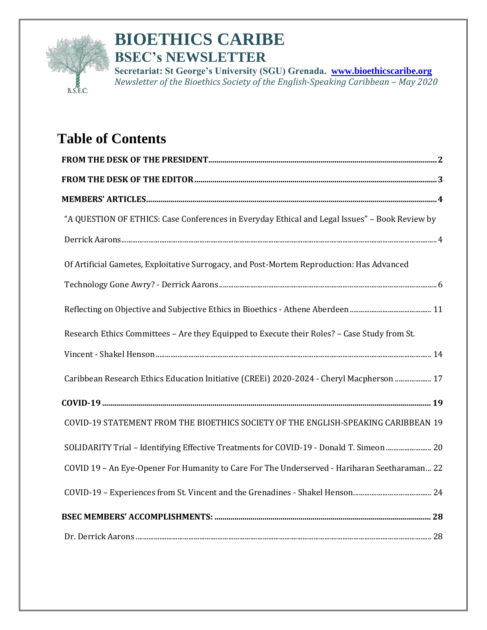

# **BIOETHICS CARIBE BSEC's NEWSLETTER**

**Secretariat: St George's University (SGU) Grenada. [www.bioethicscaribe.org](http://www.bioethicscaribe.org/)** *Newsletter of the Bioethics Society of the English-Speaking Caribbean – May 2020*

# **Table of Contents**

| "A QUESTION OF ETHICS: Case Conferences in Everyday Ethical and Legal Issues" - Book Review by |
|------------------------------------------------------------------------------------------------|
|                                                                                                |
| Of Artificial Gametes, Exploitative Surrogacy, and Post-Mortem Reproduction: Has Advanced      |
|                                                                                                |
|                                                                                                |
| Research Ethics Committees - Are they Equipped to Execute their Roles? - Case Study from St.   |
|                                                                                                |
| Caribbean Research Ethics Education Initiative (CREEi) 2020-2024 - Cheryl Macpherson  17       |
|                                                                                                |
| COVID-19 STATEMENT FROM THE BIOETHICS SOCIETY OF THE ENGLISH-SPEAKING CARIBBEAN 19             |
| SOLIDARITY Trial - Identifying Effective Treatments for COVID-19 - Donald T. Simeon  20        |
| COVID 19 - An Eye-Opener For Humanity to Care For The Underserved - Hariharan Seetharaman 22   |
|                                                                                                |
|                                                                                                |
|                                                                                                |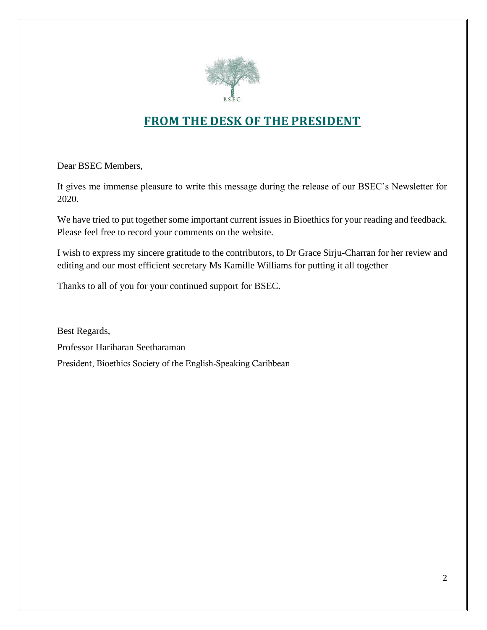

# **FROM THE DESK OF THE PRESIDENT**

<span id="page-1-0"></span>Dear BSEC Members,

It gives me immense pleasure to write this message during the release of our BSEC's Newsletter for 2020.

We have tried to put together some important current issues in Bioethics for your reading and feedback. Please feel free to record your comments on the website.

I wish to express my sincere gratitude to the contributors, to Dr Grace Sirju-Charran for her review and editing and our most efficient secretary Ms Kamille Williams for putting it all together

Thanks to all of you for your continued support for BSEC.

Best Regards, Professor Hariharan Seetharaman President, Bioethics Society of the English-Speaking Caribbean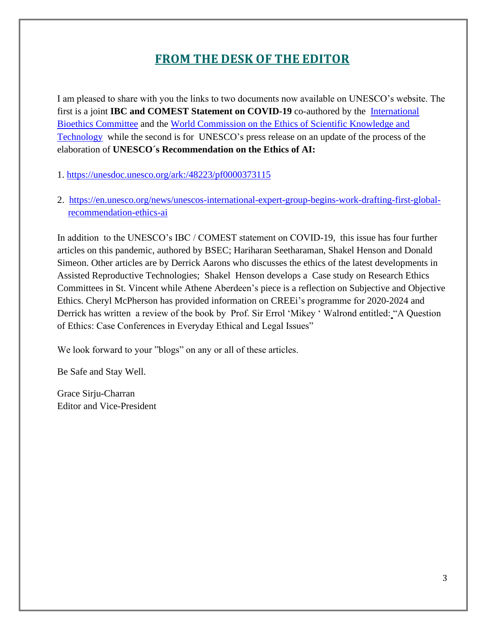# **FROM THE DESK OF THE EDITOR**

<span id="page-2-0"></span>I am pleased to share with you the links to two documents now available on UNESCO's website. The first is a joint **IBC and COMEST Statement on COVID-19** co-authored by the [International](https://unesdoc.unesco.org/query?q=Corporate:%20%22International%20Bioethics%20Committee%22&sf=sf:*)  [Bioethics Committee](https://unesdoc.unesco.org/query?q=Corporate:%20%22International%20Bioethics%20Committee%22&sf=sf:*) and the [World Commission on the Ethics of Scientific Knowledge and](https://unesdoc.unesco.org/query?q=Corporate:%20%22IBC%22&sf=sf:*)  [Technology](https://unesdoc.unesco.org/query?q=Corporate:%20%22IBC%22&sf=sf:*) while the second is for UNESCO's press release on an update of the process of the elaboration of **UNESCO´s Recommendation on the Ethics of AI:**

1. <https://unesdoc.unesco.org/ark:/48223/pf0000373115>

2. [https://en.unesco.org/news/unescos-international-expert-group-begins-work-drafting-first-global](https://en.unesco.org/news/unescos-international-expert-group-begins-work-drafting-first-global-recommendation-ethics-ai)[recommendation-ethics-ai](https://en.unesco.org/news/unescos-international-expert-group-begins-work-drafting-first-global-recommendation-ethics-ai)

In addition to the UNESCO's IBC / COMEST statement on COVID-19, this issue has four further articles on this pandemic, authored by BSEC; Hariharan Seetharaman, Shakel Henson and Donald Simeon. Other articles are by Derrick Aarons who discusses the ethics of the latest developments in Assisted Reproductive Technologies; Shakel Henson develops a Case study on Research Ethics Committees in St. Vincent while Athene Aberdeen's piece is a reflection on Subjective and Objective Ethics. Cheryl McPherson has provided information on CREEi's programme for 2020-2024 and Derrick has written a review of the book by Prof. Sir Errol 'Mikey ' Walrond entitled: "A Question of Ethics: Case Conferences in Everyday Ethical and Legal Issues"

We look forward to your "blogs" on any or all of these articles.

Be Safe and Stay Well.

Grace Sirju-Charran Editor and Vice-President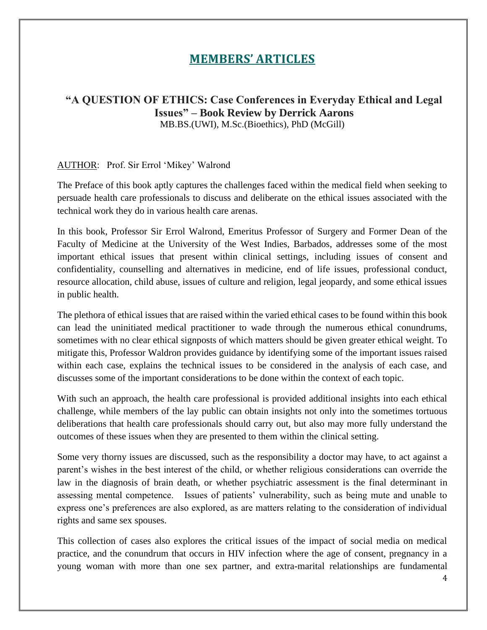# **MEMBERS' ARTICLES**

### <span id="page-3-1"></span><span id="page-3-0"></span>**"A QUESTION OF ETHICS: Case Conferences in Everyday Ethical and Legal Issues" – Book Review by Derrick Aarons** MB.BS.(UWI), M.Sc.(Bioethics), PhD (McGill)

#### AUTHOR: Prof. Sir Errol 'Mikey' Walrond

The Preface of this book aptly captures the challenges faced within the medical field when seeking to persuade health care professionals to discuss and deliberate on the ethical issues associated with the technical work they do in various health care arenas.

In this book, Professor Sir Errol Walrond, Emeritus Professor of Surgery and Former Dean of the Faculty of Medicine at the University of the West Indies, Barbados, addresses some of the most important ethical issues that present within clinical settings, including issues of consent and confidentiality, counselling and alternatives in medicine, end of life issues, professional conduct, resource allocation, child abuse, issues of culture and religion, legal jeopardy, and some ethical issues in public health.

The plethora of ethical issues that are raised within the varied ethical cases to be found within this book can lead the uninitiated medical practitioner to wade through the numerous ethical conundrums, sometimes with no clear ethical signposts of which matters should be given greater ethical weight. To mitigate this, Professor Waldron provides guidance by identifying some of the important issues raised within each case, explains the technical issues to be considered in the analysis of each case, and discusses some of the important considerations to be done within the context of each topic.

With such an approach, the health care professional is provided additional insights into each ethical challenge, while members of the lay public can obtain insights not only into the sometimes tortuous deliberations that health care professionals should carry out, but also may more fully understand the outcomes of these issues when they are presented to them within the clinical setting.

Some very thorny issues are discussed, such as the responsibility a doctor may have, to act against a parent's wishes in the best interest of the child, or whether religious considerations can override the law in the diagnosis of brain death, or whether psychiatric assessment is the final determinant in assessing mental competence. Issues of patients' vulnerability, such as being mute and unable to express one's preferences are also explored, as are matters relating to the consideration of individual rights and same sex spouses.

This collection of cases also explores the critical issues of the impact of social media on medical practice, and the conundrum that occurs in HIV infection where the age of consent, pregnancy in a young woman with more than one sex partner, and extra-marital relationships are fundamental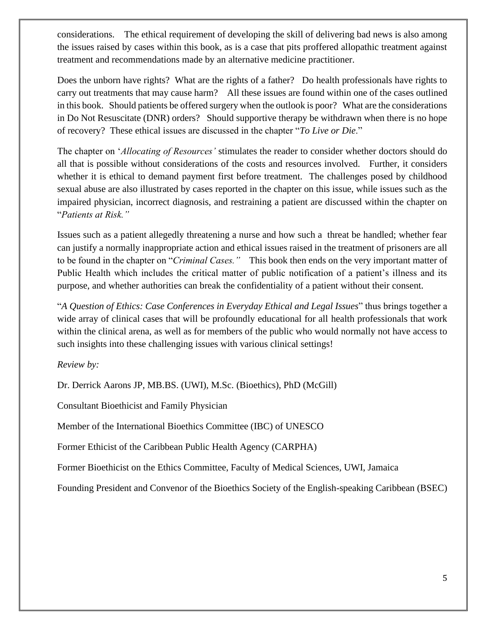considerations. The ethical requirement of developing the skill of delivering bad news is also among the issues raised by cases within this book, as is a case that pits proffered allopathic treatment against treatment and recommendations made by an alternative medicine practitioner.

Does the unborn have rights? What are the rights of a father? Do health professionals have rights to carry out treatments that may cause harm? All these issues are found within one of the cases outlined in this book. Should patients be offered surgery when the outlook is poor? What are the considerations in Do Not Resuscitate (DNR) orders? Should supportive therapy be withdrawn when there is no hope of recovery? These ethical issues are discussed in the chapter "*To Live or Die*."

The chapter on '*Allocating of Resources'* stimulates the reader to consider whether doctors should do all that is possible without considerations of the costs and resources involved. Further, it considers whether it is ethical to demand payment first before treatment. The challenges posed by childhood sexual abuse are also illustrated by cases reported in the chapter on this issue, while issues such as the impaired physician, incorrect diagnosis, and restraining a patient are discussed within the chapter on "*Patients at Risk."*

Issues such as a patient allegedly threatening a nurse and how such a threat be handled; whether fear can justify a normally inappropriate action and ethical issues raised in the treatment of prisoners are all to be found in the chapter on "*Criminal Cases."* This book then ends on the very important matter of Public Health which includes the critical matter of public notification of a patient's illness and its purpose, and whether authorities can break the confidentiality of a patient without their consent.

"*A Question of Ethics: Case Conferences in Everyday Ethical and Legal Issues*" thus brings together a wide array of clinical cases that will be profoundly educational for all health professionals that work within the clinical arena, as well as for members of the public who would normally not have access to such insights into these challenging issues with various clinical settings!

#### *Review by:*

Dr. Derrick Aarons JP, MB.BS. (UWI), M.Sc. (Bioethics), PhD (McGill)

Consultant Bioethicist and Family Physician

Member of the International Bioethics Committee (IBC) of UNESCO

Former Ethicist of the Caribbean Public Health Agency (CARPHA)

Former Bioethicist on the Ethics Committee, Faculty of Medical Sciences, UWI, Jamaica

Founding President and Convenor of the Bioethics Society of the English-speaking Caribbean (BSEC)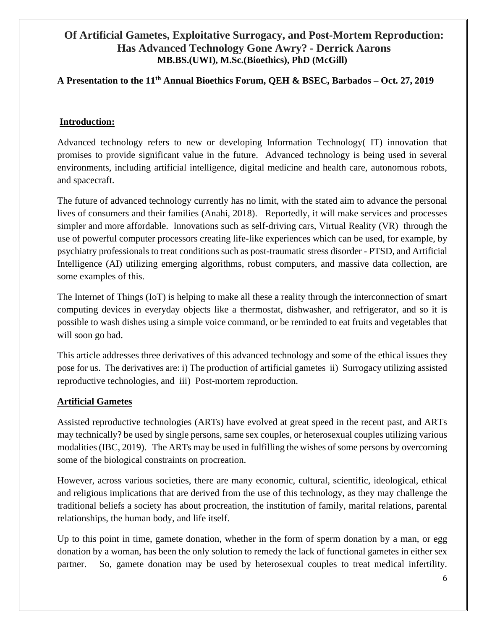### <span id="page-5-0"></span>**Of Artificial Gametes, Exploitative Surrogacy, and Post-Mortem Reproduction: Has Advanced Technology Gone Awry? - Derrick Aarons MB.BS.(UWI), M.Sc.(Bioethics), PhD (McGill)**

## **A Presentation to the 11th Annual Bioethics Forum, QEH & BSEC, Barbados – Oct. 27, 2019**

#### **Introduction:**

Advanced technology refers to new or developing Information Technology( IT) innovation that promises to provide significant value in the future. Advanced technology is being used in several environments, including artificial intelligence, digital medicine and health care, autonomous robots, and spacecraft.

The future of advanced technology currently has no limit, with the stated aim to advance the personal lives of consumers and their families (Anahi, 2018). Reportedly, it will make services and processes simpler and more affordable. Innovations such as self-driving cars, Virtual Reality (VR) through the use of powerful computer processors creating life-like experiences which can be used, for example, by psychiatry professionals to treat conditions such as post-traumatic stress disorder - PTSD, and Artificial Intelligence (AI) utilizing emerging algorithms, robust computers, and massive data collection, are some examples of this.

The Internet of Things (IoT) is helping to make all these a reality through the interconnection of smart computing devices in everyday objects like a thermostat, dishwasher, and refrigerator, and so it is possible to wash dishes using a simple voice command, or be reminded to eat fruits and vegetables that will soon go bad.

This article addresses three derivatives of this advanced technology and some of the ethical issues they pose for us. The derivatives are: i) The production of artificial gametes ii) Surrogacy utilizing assisted reproductive technologies, and iii) Post-mortem reproduction.

#### **Artificial Gametes**

Assisted reproductive technologies (ARTs) have evolved at great speed in the recent past, and ARTs may technically? be used by single persons, same sex couples, or heterosexual couples utilizing various modalities (IBC, 2019). The ARTs may be used in fulfilling the wishes of some persons by overcoming some of the biological constraints on procreation.

However, across various societies, there are many economic, cultural, scientific, ideological, ethical and religious implications that are derived from the use of this technology, as they may challenge the traditional beliefs a society has about procreation, the institution of family, marital relations, parental relationships, the human body, and life itself.

Up to this point in time, gamete donation, whether in the form of sperm donation by a man, or egg donation by a woman, has been the only solution to remedy the lack of functional gametes in either sex partner. So, gamete donation may be used by heterosexual couples to treat medical infertility.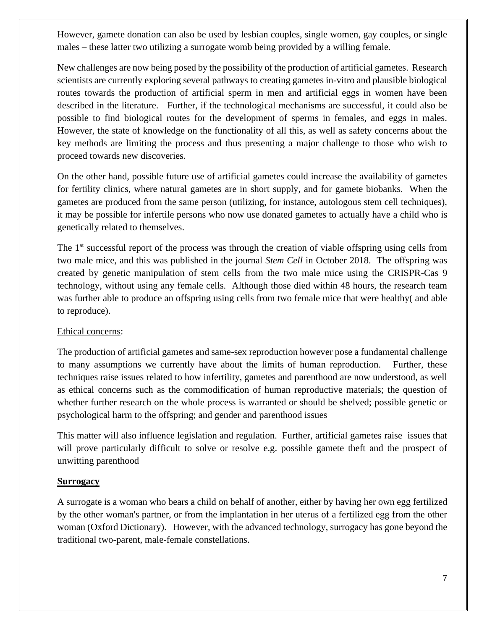However, gamete donation can also be used by lesbian couples, single women, gay couples, or single males – these latter two utilizing a surrogate womb being provided by a willing female.

New challenges are now being posed by the possibility of the production of artificial gametes. Research scientists are currently exploring several pathways to creating gametes in-vitro and plausible biological routes towards the production of artificial sperm in men and artificial eggs in women have been described in the literature. Further, if the technological mechanisms are successful, it could also be possible to find biological routes for the development of sperms in females, and eggs in males. However, the state of knowledge on the functionality of all this, as well as safety concerns about the key methods are limiting the process and thus presenting a major challenge to those who wish to proceed towards new discoveries.

On the other hand, possible future use of artificial gametes could increase the availability of gametes for fertility clinics, where natural gametes are in short supply, and for gamete biobanks. When the gametes are produced from the same person (utilizing, for instance, autologous stem cell techniques), it may be possible for infertile persons who now use donated gametes to actually have a child who is genetically related to themselves.

The 1<sup>st</sup> successful report of the process was through the creation of viable offspring using cells from two male mice, and this was published in the journal *Stem Cell* in October 2018. The offspring was created by genetic manipulation of stem cells from the two male mice using the CRISPR-Cas 9 technology, without using any female cells. Although those died within 48 hours, the research team was further able to produce an offspring using cells from two female mice that were healthy( and able to reproduce).

#### Ethical concerns:

The production of artificial gametes and same-sex reproduction however pose a fundamental challenge to many assumptions we currently have about the limits of human reproduction. Further, these techniques raise issues related to how infertility, gametes and parenthood are now understood, as well as ethical concerns such as the commodification of human reproductive materials; the question of whether further research on the whole process is warranted or should be shelved; possible genetic or psychological harm to the offspring; and gender and parenthood issues

This matter will also influence legislation and regulation. Further, artificial gametes raise issues that will prove particularly difficult to solve or resolve e.g. possible gamete theft and the prospect of unwitting parenthood

#### **Surrogacy**

A surrogate is a woman who bears a child on behalf of another, either by having her own egg fertilized by the other woman's partner, or from the implantation in her uterus of a fertilized egg from the other woman (Oxford Dictionary). However, with the advanced technology, surrogacy has gone beyond the traditional two-parent, male-female constellations.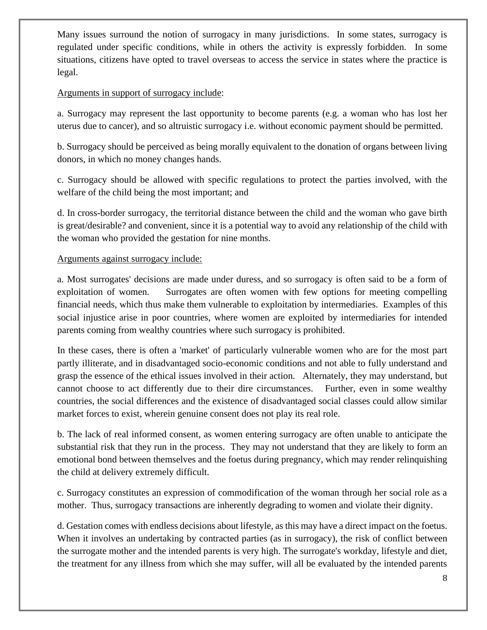Many issues surround the notion of surrogacy in many jurisdictions. In some states, surrogacy is regulated under specific conditions, while in others the activity is expressly forbidden. In some situations, citizens have opted to travel overseas to access the service in states where the practice is legal.

#### Arguments in support of surrogacy include:

a. Surrogacy may represent the last opportunity to become parents (e.g. a woman who has lost her uterus due to cancer), and so altruistic surrogacy i.e. without economic payment should be permitted.

b. Surrogacy should be perceived as being morally equivalent to the donation of organs between living donors, in which no money changes hands.

c. Surrogacy should be allowed with specific regulations to protect the parties involved, with the welfare of the child being the most important; and

d. In cross-border surrogacy, the territorial distance between the child and the woman who gave birth is great/desirable? and convenient, since it is a potential way to avoid any relationship of the child with the woman who provided the gestation for nine months.

#### Arguments against surrogacy include:

a. Most surrogates' decisions are made under duress, and so surrogacy is often said to be a form of exploitation of women. Surrogates are often women with few options for meeting compelling financial needs, which thus make them vulnerable to exploitation by intermediaries. Examples of this social injustice arise in poor countries, where women are exploited by intermediaries for intended parents coming from wealthy countries where such surrogacy is prohibited.

In these cases, there is often a 'market' of particularly vulnerable women who are for the most part partly illiterate, and in disadvantaged socio-economic conditions and not able to fully understand and grasp the essence of the ethical issues involved in their action. Alternately, they may understand, but cannot choose to act differently due to their dire circumstances. Further, even in some wealthy countries, the social differences and the existence of disadvantaged social classes could allow similar market forces to exist, wherein genuine consent does not play its real role.

b. The lack of real informed consent, as women entering surrogacy are often unable to anticipate the substantial risk that they run in the process. They may not understand that they are likely to form an emotional bond between themselves and the foetus during pregnancy, which may render relinquishing the child at delivery extremely difficult.

c. Surrogacy constitutes an expression of commodification of the woman through her social role as a mother. Thus, surrogacy transactions are inherently degrading to women and violate their dignity.

d. Gestation comes with endless decisions about lifestyle, as this may have a direct impact on the foetus. When it involves an undertaking by contracted parties (as in surrogacy), the risk of conflict between the surrogate mother and the intended parents is very high. The surrogate's workday, lifestyle and diet, the treatment for any illness from which she may suffer, will all be evaluated by the intended parents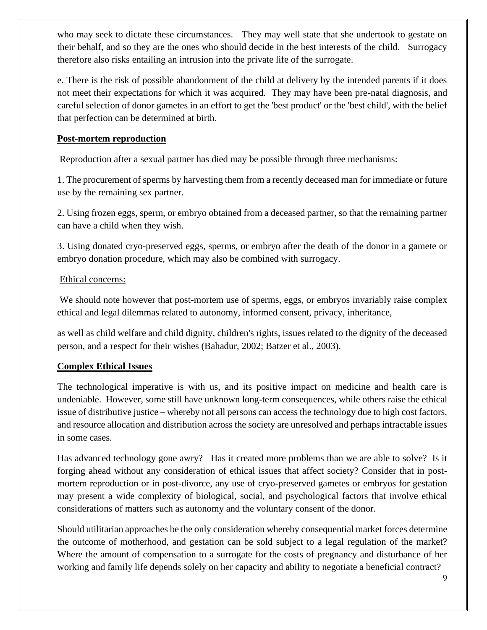who may seek to dictate these circumstances. They may well state that she undertook to gestate on their behalf, and so they are the ones who should decide in the best interests of the child. Surrogacy therefore also risks entailing an intrusion into the private life of the surrogate.

e. There is the risk of possible abandonment of the child at delivery by the intended parents if it does not meet their expectations for which it was acquired. They may have been pre-natal diagnosis, and careful selection of donor gametes in an effort to get the 'best product' or the 'best child', with the belief that perfection can be determined at birth.

#### **Post-mortem reproduction**

Reproduction after a sexual partner has died may be possible through three mechanisms:

1. The procurement of sperms by harvesting them from a recently deceased man for immediate or future use by the remaining sex partner.

2. Using frozen eggs, sperm, or embryo obtained from a deceased partner, so that the remaining partner can have a child when they wish.

3. Using donated cryo-preserved eggs, sperms, or embryo after the death of the donor in a gamete or embryo donation procedure, which may also be combined with surrogacy.

#### Ethical concerns:

We should note however that post-mortem use of sperms, eggs, or embryos invariably raise complex ethical and legal dilemmas related to autonomy, informed consent, privacy, inheritance,

as well as child welfare and child dignity, children's rights, issues related to the dignity of the deceased person, and a respect for their wishes (Bahadur, 2002; Batzer et al., 2003).

#### **Complex Ethical Issues**

The technological imperative is with us, and its positive impact on medicine and health care is undeniable. However, some still have unknown long-term consequences, while others raise the ethical issue of distributive justice – whereby not all persons can access the technology due to high cost factors, and resource allocation and distribution across the society are unresolved and perhaps intractable issues in some cases.

Has advanced technology gone awry? Has it created more problems than we are able to solve? Is it forging ahead without any consideration of ethical issues that affect society? Consider that in postmortem reproduction or in post-divorce, any use of cryo-preserved gametes or embryos for gestation may present a wide complexity of biological, social, and psychological factors that involve ethical considerations of matters such as autonomy and the voluntary consent of the donor.

Should utilitarian approaches be the only consideration whereby consequential market forces determine the outcome of motherhood, and gestation can be sold subject to a legal regulation of the market? Where the amount of compensation to a surrogate for the costs of pregnancy and disturbance of her working and family life depends solely on her capacity and ability to negotiate a beneficial contract?

9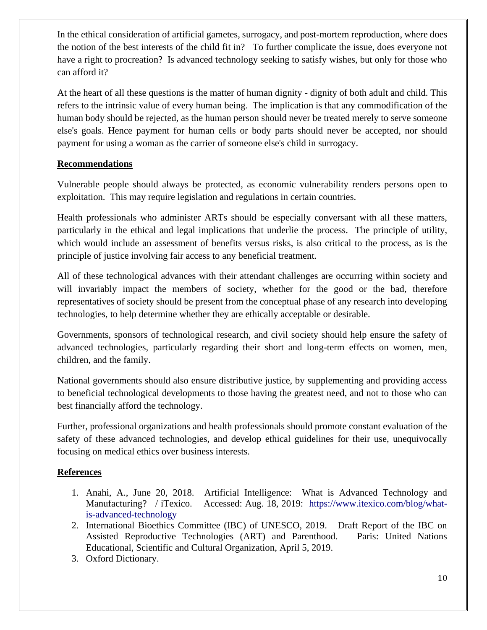In the ethical consideration of artificial gametes, surrogacy, and post-mortem reproduction, where does the notion of the best interests of the child fit in? To further complicate the issue, does everyone not have a right to procreation? Is advanced technology seeking to satisfy wishes, but only for those who can afford it?

At the heart of all these questions is the matter of human dignity - dignity of both adult and child. This refers to the intrinsic value of every human being. The implication is that any commodification of the human body should be rejected, as the human person should never be treated merely to serve someone else's goals. Hence payment for human cells or body parts should never be accepted, nor should payment for using a woman as the carrier of someone else's child in surrogacy.

#### **Recommendations**

Vulnerable people should always be protected, as economic vulnerability renders persons open to exploitation. This may require legislation and regulations in certain countries.

Health professionals who administer ARTs should be especially conversant with all these matters, particularly in the ethical and legal implications that underlie the process. The principle of utility, which would include an assessment of benefits versus risks, is also critical to the process, as is the principle of justice involving fair access to any beneficial treatment.

All of these technological advances with their attendant challenges are occurring within society and will invariably impact the members of society, whether for the good or the bad, therefore representatives of society should be present from the conceptual phase of any research into developing technologies, to help determine whether they are ethically acceptable or desirable.

Governments, sponsors of technological research, and civil society should help ensure the safety of advanced technologies, particularly regarding their short and long-term effects on women, men, children, and the family.

National governments should also ensure distributive justice, by supplementing and providing access to beneficial technological developments to those having the greatest need, and not to those who can best financially afford the technology.

Further, professional organizations and health professionals should promote constant evaluation of the safety of these advanced technologies, and develop ethical guidelines for their use, unequivocally focusing on medical ethics over business interests.

#### **References**

- 1. Anahi, A., June 20, 2018. Artificial Intelligence: What is Advanced Technology and Manufacturing? / iTexico. Accessed: Aug. 18, 2019: [https://www.itexico.com/blog/what](https://www.itexico.com/blog/what-is-advanced-technology)[is-advanced-technology](https://www.itexico.com/blog/what-is-advanced-technology)
- 2. International Bioethics Committee (IBC) of UNESCO, 2019. Draft Report of the IBC on Assisted Reproductive Technologies (ART) and Parenthood. Paris: United Nations Educational, Scientific and Cultural Organization, April 5, 2019.
- 3. Oxford Dictionary.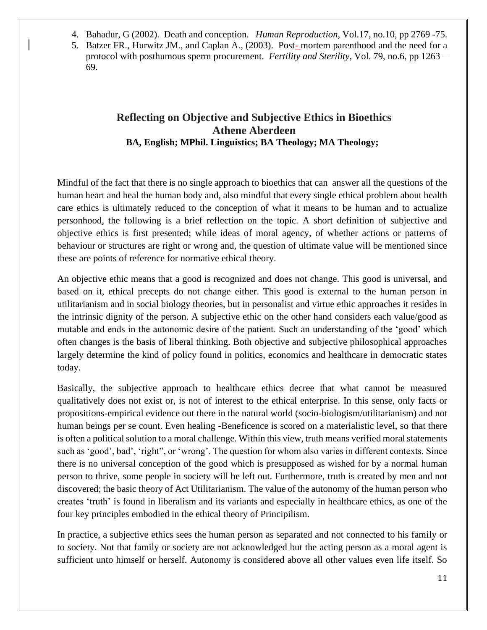- 4. Bahadur, G (2002). Death and conception. *Human Reproduction*, Vol.17, no.10, pp 2769 -75.
- <span id="page-10-0"></span>5. Batzer FR., Hurwitz JM., and Caplan A., (2003). Post- mortem parenthood and the need for a protocol with posthumous sperm procurement. *Fertility and Sterility*, Vol. 79, no.6, pp 1263 – 69.

### **Reflecting on Objective and Subjective Ethics in Bioethics Athene Aberdeen BA, English; MPhil. Linguistics; BA Theology; MA Theology;**

Mindful of the fact that there is no single approach to bioethics that can answer all the questions of the human heart and heal the human body and, also mindful that every single ethical problem about health care ethics is ultimately reduced to the conception of what it means to be human and to actualize personhood, the following is a brief reflection on the topic. A short definition of subjective and objective ethics is first presented; while ideas of moral agency, of whether actions or patterns of behaviour or structures are right or wrong and, the question of ultimate value will be mentioned since these are points of reference for normative ethical theory.

An objective ethic means that a good is recognized and does not change. This good is universal, and based on it, ethical precepts do not change either. This good is external to the human person in utilitarianism and in social biology theories, but in personalist and virtue ethic approaches it resides in the intrinsic dignity of the person. A subjective ethic on the other hand considers each value/good as mutable and ends in the autonomic desire of the patient. Such an understanding of the 'good' which often changes is the basis of liberal thinking. Both objective and subjective philosophical approaches largely determine the kind of policy found in politics, economics and healthcare in democratic states today.

Basically, the subjective approach to healthcare ethics decree that what cannot be measured qualitatively does not exist or, is not of interest to the ethical enterprise. In this sense, only facts or propositions-empirical evidence out there in the natural world (socio-biologism/utilitarianism) and not human beings per se count. Even healing -Beneficence is scored on a materialistic level, so that there is often a political solution to a moral challenge. Within this view, truth means verified moral statements such as 'good', bad', 'right", or 'wrong'. The question for whom also varies in different contexts. Since there is no universal conception of the good which is presupposed as wished for by a normal human person to thrive, some people in society will be left out. Furthermore, truth is created by men and not discovered; the basic theory of Act Utilitarianism. The value of the autonomy of the human person who creates 'truth' is found in liberalism and its variants and especially in healthcare ethics, as one of the four key principles embodied in the ethical theory of Principilism.

In practice, a subjective ethics sees the human person as separated and not connected to his family or to society. Not that family or society are not acknowledged but the acting person as a moral agent is sufficient unto himself or herself. Autonomy is considered above all other values even life itself. So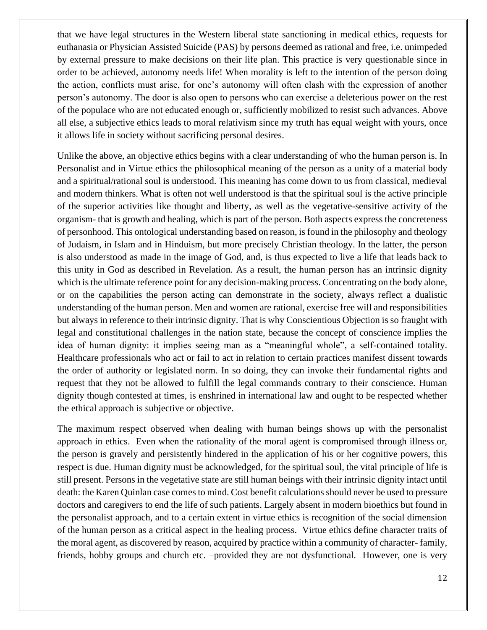that we have legal structures in the Western liberal state sanctioning in medical ethics, requests for euthanasia or Physician Assisted Suicide (PAS) by persons deemed as rational and free, i.e. unimpeded by external pressure to make decisions on their life plan. This practice is very questionable since in order to be achieved, autonomy needs life! When morality is left to the intention of the person doing the action, conflicts must arise, for one's autonomy will often clash with the expression of another person's autonomy. The door is also open to persons who can exercise a deleterious power on the rest of the populace who are not educated enough or, sufficiently mobilized to resist such advances. Above all else, a subjective ethics leads to moral relativism since my truth has equal weight with yours, once it allows life in society without sacrificing personal desires.

Unlike the above, an objective ethics begins with a clear understanding of who the human person is. In Personalist and in Virtue ethics the philosophical meaning of the person as a unity of a material body and a spiritual/rational soul is understood. This meaning has come down to us from classical, medieval and modern thinkers. What is often not well understood is that the spiritual soul is the active principle of the superior activities like thought and liberty, as well as the vegetative-sensitive activity of the organism- that is growth and healing, which is part of the person. Both aspects express the concreteness of personhood. This ontological understanding based on reason, is found in the philosophy and theology of Judaism, in Islam and in Hinduism, but more precisely Christian theology. In the latter, the person is also understood as made in the image of God, and, is thus expected to live a life that leads back to this unity in God as described in Revelation. As a result, the human person has an intrinsic dignity which is the ultimate reference point for any decision-making process. Concentrating on the body alone, or on the capabilities the person acting can demonstrate in the society, always reflect a dualistic understanding of the human person. Men and women are rational, exercise free will and responsibilities but always in reference to their intrinsic dignity. That is why Conscientious Objection is so fraught with legal and constitutional challenges in the nation state, because the concept of conscience implies the idea of human dignity: it implies seeing man as a "meaningful whole", a self-contained totality. Healthcare professionals who act or fail to act in relation to certain practices manifest dissent towards the order of authority or legislated norm. In so doing, they can invoke their fundamental rights and request that they not be allowed to fulfill the legal commands contrary to their conscience. Human dignity though contested at times, is enshrined in international law and ought to be respected whether the ethical approach is subjective or objective.

The maximum respect observed when dealing with human beings shows up with the personalist approach in ethics. Even when the rationality of the moral agent is compromised through illness or, the person is gravely and persistently hindered in the application of his or her cognitive powers, this respect is due. Human dignity must be acknowledged, for the spiritual soul, the vital principle of life is still present. Persons in the vegetative state are still human beings with their intrinsic dignity intact until death: the Karen Quinlan case comes to mind. Cost benefit calculations should never be used to pressure doctors and caregivers to end the life of such patients. Largely absent in modern bioethics but found in the personalist approach, and to a certain extent in virtue ethics is recognition of the social dimension of the human person as a critical aspect in the healing process. Virtue ethics define character traits of the moral agent, as discovered by reason, acquired by practice within a community of character- family, friends, hobby groups and church etc. –provided they are not dysfunctional. However, one is very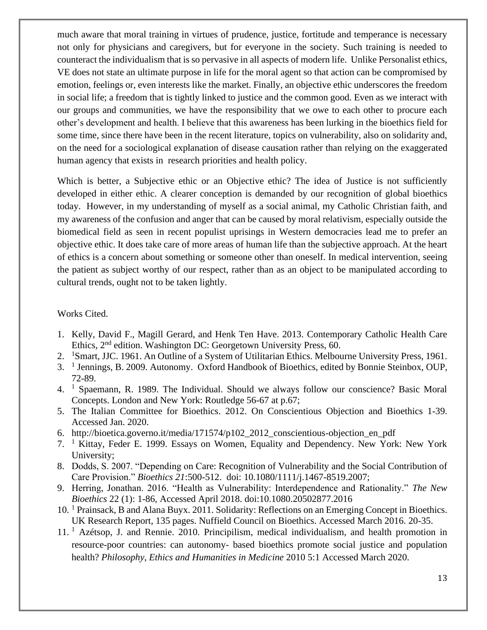much aware that moral training in virtues of prudence, justice, fortitude and temperance is necessary not only for physicians and caregivers, but for everyone in the society. Such training is needed to counteract the individualism that is so pervasive in all aspects of modern life. Unlike Personalist ethics, VE does not state an ultimate purpose in life for the moral agent so that action can be compromised by emotion, feelings or, even interests like the market. Finally, an objective ethic underscores the freedom in social life; a freedom that is tightly linked to justice and the common good. Even as we interact with our groups and communities, we have the responsibility that we owe to each other to procure each other's development and health. I believe that this awareness has been lurking in the bioethics field for some time, since there have been in the recent literature, topics on vulnerability, also on solidarity and, on the need for a sociological explanation of disease causation rather than relying on the exaggerated human agency that exists in research priorities and health policy.

Which is better, a Subjective ethic or an Objective ethic? The idea of Justice is not sufficiently developed in either ethic. A clearer conception is demanded by our recognition of global bioethics today. However, in my understanding of myself as a social animal, my Catholic Christian faith, and my awareness of the confusion and anger that can be caused by moral relativism, especially outside the biomedical field as seen in recent populist uprisings in Western democracies lead me to prefer an objective ethic. It does take care of more areas of human life than the subjective approach. At the heart of ethics is a concern about something or someone other than oneself. In medical intervention, seeing the patient as subject worthy of our respect, rather than as an object to be manipulated according to cultural trends, ought not to be taken lightly.

#### Works Cited.

- 1. Kelly, David F., Magill Gerard, and Henk Ten Have. 2013. Contemporary Catholic Health Care Ethics, 2<sup>nd</sup> edition. Washington DC: Georgetown University Press, 60.
- 2. <sup>1</sup>Smart, JJC. 1961. An Outline of a System of Utilitarian Ethics. Melbourne University Press, 1961.
- 3. <sup>1</sup> Jennings, B. 2009. Autonomy. Oxford Handbook of Bioethics, edited by Bonnie Steinbox, OUP, 72-89.
- 4. <sup>1</sup> Spaemann, R. 1989. The Individual. Should we always follow our conscience? Basic Moral Concepts. London and New York: Routledge 56-67 at p.67;
- 5. The Italian Committee for Bioethics. 2012. On Conscientious Objection and Bioethics 1-39. Accessed Jan. 2020.
- 6. http://bioetica.governo.it/media/171574/p102\_2012\_conscientious-objection\_en\_pdf
- 7. <sup>1</sup> Kittay, Feder E. 1999. Essays on Women, Equality and Dependency. New York: New York University;
- 8. Dodds, S. 2007. "Depending on Care: Recognition of Vulnerability and the Social Contribution of Care Provision." *Bioethics 21*:500-512. doi: 10.1080/1111/j.1467-8519.2007;
- 9. Herring, Jonathan. 2016. "Health as Vulnerability: Interdependence and Rationality." *The New Bioethics* 22 (1): 1-86, Accessed April 2018. doi:10.1080.20502877.2016
- 10. <sup>1</sup> Prainsack, B and Alana Buyx. 2011. Solidarity: Reflections on an Emerging Concept in Bioethics. UK Research Report, 135 pages. Nuffield Council on Bioethics. Accessed March 2016. 20-35.
- 11. <sup>1</sup> Azétsop, J. and Rennie. 2010. Principilism, medical individualism, and health promotion in resource-poor countries: can autonomy- based bioethics promote social justice and population health? *Philosophy, Ethics and Humanities in Medicine* 2010 5:1 Accessed March 2020.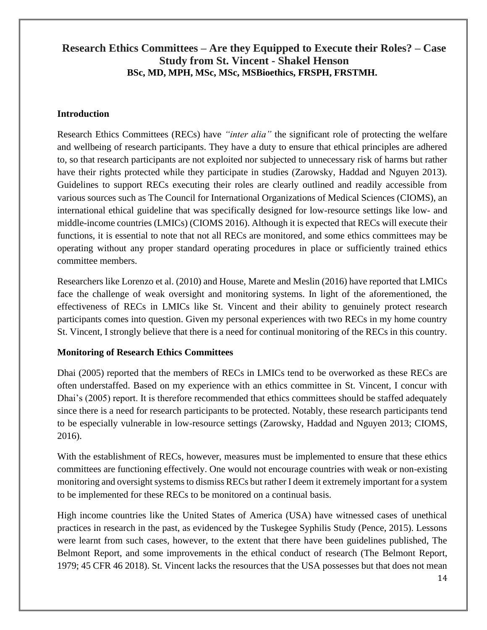### <span id="page-13-0"></span>**Research Ethics Committees – Are they Equipped to Execute their Roles? – Case Study from St. Vincent - Shakel Henson BSc, MD, MPH, MSc, MSc, MSBioethics, FRSPH, FRSTMH.**

#### **Introduction**

Research Ethics Committees (RECs) have *"inter alia"* the significant role of protecting the welfare and wellbeing of research participants. They have a duty to ensure that ethical principles are adhered to, so that research participants are not exploited nor subjected to unnecessary risk of harms but rather have their rights protected while they participate in studies (Zarowsky, Haddad and Nguyen 2013). Guidelines to support RECs executing their roles are clearly outlined and readily accessible from various sources such as The Council for International Organizations of Medical Sciences (CIOMS), an international ethical guideline that was specifically designed for low-resource settings like low- and middle-income countries (LMICs) (CIOMS 2016). Although it is expected that RECs will execute their functions, it is essential to note that not all RECs are monitored, and some ethics committees may be operating without any proper standard operating procedures in place or sufficiently trained ethics committee members.

Researchers like Lorenzo et al. (2010) and House, Marete and Meslin (2016) have reported that LMICs face the challenge of weak oversight and monitoring systems. In light of the aforementioned, the effectiveness of RECs in LMICs like St. Vincent and their ability to genuinely protect research participants comes into question. Given my personal experiences with two RECs in my home country St. Vincent, I strongly believe that there is a need for continual monitoring of the RECs in this country.

#### **Monitoring of Research Ethics Committees**

Dhai (2005) reported that the members of RECs in LMICs tend to be overworked as these RECs are often understaffed. Based on my experience with an ethics committee in St. Vincent, I concur with Dhai's (2005) report. It is therefore recommended that ethics committees should be staffed adequately since there is a need for research participants to be protected. Notably, these research participants tend to be especially vulnerable in low-resource settings (Zarowsky, Haddad and Nguyen 2013; CIOMS, 2016).

With the establishment of RECs, however, measures must be implemented to ensure that these ethics committees are functioning effectively. One would not encourage countries with weak or non-existing monitoring and oversight systems to dismiss RECs but rather I deem it extremely important for a system to be implemented for these RECs to be monitored on a continual basis.

High income countries like the United States of America (USA) have witnessed cases of unethical practices in research in the past, as evidenced by the Tuskegee Syphilis Study (Pence, 2015). Lessons were learnt from such cases, however, to the extent that there have been guidelines published, The Belmont Report, and some improvements in the ethical conduct of research (The Belmont Report, 1979; 45 CFR 46 2018). St. Vincent lacks the resources that the USA possesses but that does not mean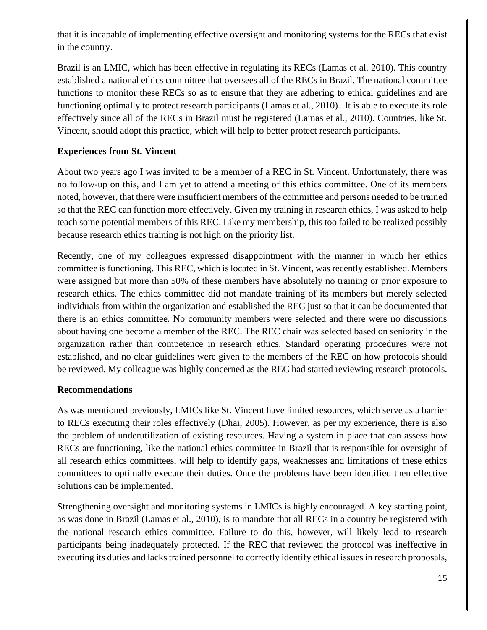that it is incapable of implementing effective oversight and monitoring systems for the RECs that exist in the country.

Brazil is an LMIC, which has been effective in regulating its RECs (Lamas et al. 2010). This country established a national ethics committee that oversees all of the RECs in Brazil. The national committee functions to monitor these RECs so as to ensure that they are adhering to ethical guidelines and are functioning optimally to protect research participants (Lamas et al., 2010). It is able to execute its role effectively since all of the RECs in Brazil must be registered (Lamas et al., 2010). Countries, like St. Vincent, should adopt this practice, which will help to better protect research participants.

#### **Experiences from St. Vincent**

About two years ago I was invited to be a member of a REC in St. Vincent. Unfortunately, there was no follow-up on this, and I am yet to attend a meeting of this ethics committee. One of its members noted, however, that there were insufficient members of the committee and persons needed to be trained so that the REC can function more effectively. Given my training in research ethics, I was asked to help teach some potential members of this REC. Like my membership, this too failed to be realized possibly because research ethics training is not high on the priority list.

Recently, one of my colleagues expressed disappointment with the manner in which her ethics committee is functioning. This REC, which is located in St. Vincent, was recently established. Members were assigned but more than 50% of these members have absolutely no training or prior exposure to research ethics. The ethics committee did not mandate training of its members but merely selected individuals from within the organization and established the REC just so that it can be documented that there is an ethics committee. No community members were selected and there were no discussions about having one become a member of the REC. The REC chair was selected based on seniority in the organization rather than competence in research ethics. Standard operating procedures were not established, and no clear guidelines were given to the members of the REC on how protocols should be reviewed. My colleague was highly concerned as the REC had started reviewing research protocols.

#### **Recommendations**

As was mentioned previously, LMICs like St. Vincent have limited resources, which serve as a barrier to RECs executing their roles effectively (Dhai, 2005). However, as per my experience, there is also the problem of underutilization of existing resources. Having a system in place that can assess how RECs are functioning, like the national ethics committee in Brazil that is responsible for oversight of all research ethics committees, will help to identify gaps, weaknesses and limitations of these ethics committees to optimally execute their duties. Once the problems have been identified then effective solutions can be implemented.

Strengthening oversight and monitoring systems in LMICs is highly encouraged. A key starting point, as was done in Brazil (Lamas et al., 2010), is to mandate that all RECs in a country be registered with the national research ethics committee. Failure to do this, however, will likely lead to research participants being inadequately protected. If the REC that reviewed the protocol was ineffective in executing its duties and lacks trained personnel to correctly identify ethical issues in research proposals,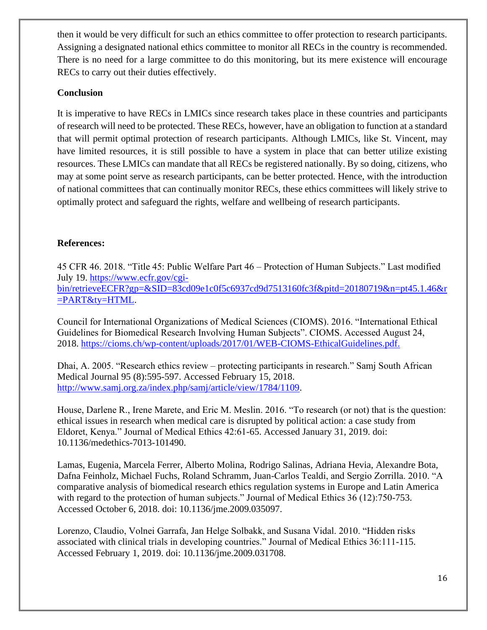then it would be very difficult for such an ethics committee to offer protection to research participants. Assigning a designated national ethics committee to monitor all RECs in the country is recommended. There is no need for a large committee to do this monitoring, but its mere existence will encourage RECs to carry out their duties effectively.

#### **Conclusion**

It is imperative to have RECs in LMICs since research takes place in these countries and participants of research will need to be protected. These RECs, however, have an obligation to function at a standard that will permit optimal protection of research participants. Although LMICs, like St. Vincent, may have limited resources, it is still possible to have a system in place that can better utilize existing resources. These LMICs can mandate that all RECs be registered nationally. By so doing, citizens, who may at some point serve as research participants, can be better protected. Hence, with the introduction of national committees that can continually monitor RECs, these ethics committees will likely strive to optimally protect and safeguard the rights, welfare and wellbeing of research participants.

#### **References:**

45 CFR 46. 2018. "Title 45: Public Welfare Part 46 – Protection of Human Subjects." Last modified July 19. [https://www.ecfr.gov/cgi](https://www.ecfr.gov/cgi-bin/retrieveECFR?gp=&SID=83cd09e1c0f5c6937cd9d7513160fc3f&pitd=20180719&n=pt45.1.46&r=PART&ty=HTML)[bin/retrieveECFR?gp=&SID=83cd09e1c0f5c6937cd9d7513160fc3f&pitd=20180719&n=pt45.1.46&r](https://www.ecfr.gov/cgi-bin/retrieveECFR?gp=&SID=83cd09e1c0f5c6937cd9d7513160fc3f&pitd=20180719&n=pt45.1.46&r=PART&ty=HTML) [=PART&ty=HTML.](https://www.ecfr.gov/cgi-bin/retrieveECFR?gp=&SID=83cd09e1c0f5c6937cd9d7513160fc3f&pitd=20180719&n=pt45.1.46&r=PART&ty=HTML)

Council for International Organizations of Medical Sciences (CIOMS). 2016. "International Ethical Guidelines for Biomedical Research Involving Human Subjects". CIOMS. Accessed August 24, 2018. [https://cioms.ch/wp-content/uploads/2017/01/WEB-CIOMS-EthicalGuidelines.pdf.](https://cioms.ch/wp-content/uploads/2017/01/WEB-CIOMS-EthicalGuidelines.pdf)

Dhai, A. 2005. "Research ethics review – protecting participants in research." Samj South African Medical Journal 95 (8):595-597. Accessed February 15, 2018. [http://www.samj.org.za/index.php/samj/article/view/1784/1109.](http://www.samj.org.za/index.php/samj/article/view/1784/1109)

House, Darlene R., Irene Marete, and Eric M. Meslin. 2016. "To research (or not) that is the question: ethical issues in research when medical care is disrupted by political action: a case study from Eldoret, Kenya." Journal of Medical Ethics 42:61-65. Accessed January 31, 2019. doi: 10.1136/medethics-7013-101490.

Lamas, Eugenia, Marcela Ferrer, Alberto Molina, Rodrigo Salinas, Adriana Hevia, Alexandre Bota, Dafna Feinholz, Michael Fuchs, Roland Schramm, Juan-Carlos Tealdi, and Sergio Zorrilla. 2010. "A comparative analysis of biomedical research ethics regulation systems in Europe and Latin America with regard to the protection of human subjects." Journal of Medical Ethics 36 (12):750-753. Accessed October 6, 2018. doi: 10.1136/jme.2009.035097.

Lorenzo, Claudio, Volnei Garrafa, Jan Helge Solbakk, and Susana Vidal. 2010. "Hidden risks associated with clinical trials in developing countries." Journal of Medical Ethics 36:111-115. Accessed February 1, 2019. doi: 10.1136/jme.2009.031708.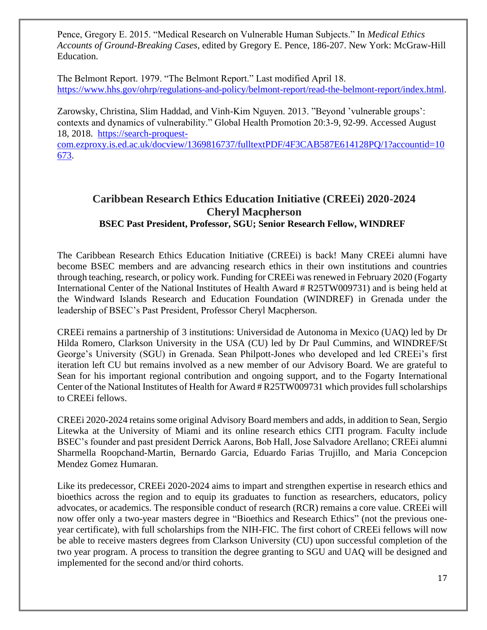Pence, Gregory E. 2015. "Medical Research on Vulnerable Human Subjects." In *Medical Ethics Accounts of Ground-Breaking Cases*, edited by Gregory E. Pence, 186-207. New York: McGraw-Hill Education.

The Belmont Report. 1979. "The Belmont Report." Last modified April 18. [https://www.hhs.gov/ohrp/regulations-and-policy/belmont-report/read-the-belmont-report/index.html.](https://www.hhs.gov/ohrp/regulations-and-policy/belmont-report/read-the-belmont-report/index.html)

Zarowsky, Christina, Slim Haddad, and Vinh-Kim Nguyen. 2013. "Beyond 'vulnerable groups': contexts and dynamics of vulnerability." Global Health Promotion 20:3-9, 92-99. Accessed August 18, 2018. [https://search-proquest-](https://search-proquest-com.ezproxy.is.ed.ac.uk/docview/1369816737/fulltextPDF/4F3CAB587E614128PQ/1?accountid=10673)

[com.ezproxy.is.ed.ac.uk/docview/1369816737/fulltextPDF/4F3CAB587E614128PQ/1?accountid=10](https://search-proquest-com.ezproxy.is.ed.ac.uk/docview/1369816737/fulltextPDF/4F3CAB587E614128PQ/1?accountid=10673) [673.](https://search-proquest-com.ezproxy.is.ed.ac.uk/docview/1369816737/fulltextPDF/4F3CAB587E614128PQ/1?accountid=10673)

## <span id="page-16-0"></span>**Caribbean Research Ethics Education Initiative (CREEi) 2020-2024 Cheryl Macpherson BSEC Past President, Professor, SGU; Senior Research Fellow, WINDREF**

The Caribbean Research Ethics Education Initiative (CREEi) is back! Many CREEi alumni have become BSEC members and are advancing research ethics in their own institutions and countries through teaching, research, or policy work. Funding for CREEi was renewed in February 2020 (Fogarty International Center of the National Institutes of Health Award # R25TW009731) and is being held at the Windward Islands Research and Education Foundation (WINDREF) in Grenada under the leadership of BSEC's Past President, Professor Cheryl Macpherson.

CREEi remains a partnership of 3 institutions: Universidad de Autonoma in Mexico (UAQ) led by Dr Hilda Romero, Clarkson University in the USA (CU) led by Dr Paul Cummins, and WINDREF/St George's University (SGU) in Grenada. Sean Philpott-Jones who developed and led CREEi's first iteration left CU but remains involved as a new member of our Advisory Board. We are grateful to Sean for his important regional contribution and ongoing support, and to the Fogarty International Center of the National Institutes of Health for Award # R25TW009731 which provides full scholarships to CREEi fellows.

CREEi 2020-2024 retains some original Advisory Board members and adds, in addition to Sean, Sergio Litewka at the University of Miami and its online research ethics CITI program. Faculty include BSEC's founder and past president Derrick Aarons, Bob Hall, Jose Salvadore Arellano; CREEi alumni Sharmella Roopchand-Martin, Bernardo Garcia, Eduardo Farias Trujillo, and Maria Concepcion Mendez Gomez Humaran.

Like its predecessor, CREEi 2020-2024 aims to impart and strengthen expertise in research ethics and bioethics across the region and to equip its graduates to function as researchers, educators, policy advocates, or academics. The responsible conduct of research (RCR) remains a core value. CREEi will now offer only a two-year masters degree in "Bioethics and Research Ethics" (not the previous oneyear certificate), with full scholarships from the NIH-FIC. The first cohort of CREEi fellows will now be able to receive masters degrees from Clarkson University (CU) upon successful completion of the two year program. A process to transition the degree granting to SGU and UAQ will be designed and implemented for the second and/or third cohorts.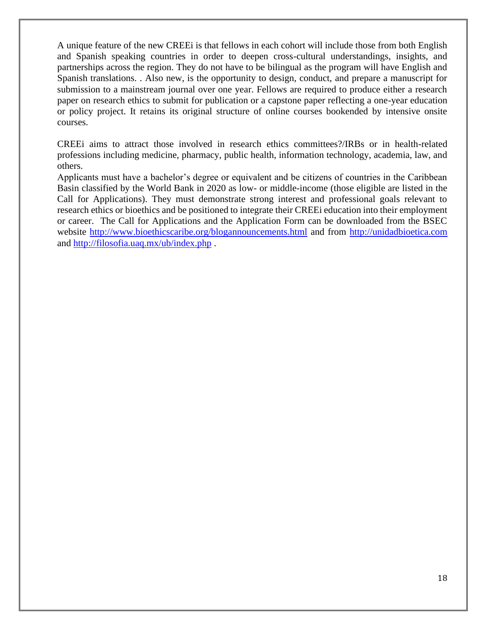A unique feature of the new CREEi is that fellows in each cohort will include those from both English and Spanish speaking countries in order to deepen cross-cultural understandings, insights, and partnerships across the region. They do not have to be bilingual as the program will have English and Spanish translations. . Also new, is the opportunity to design, conduct, and prepare a manuscript for submission to a mainstream journal over one year. Fellows are required to produce either a research paper on research ethics to submit for publication or a capstone paper reflecting a one-year education or policy project. It retains its original structure of online courses bookended by intensive onsite courses.

CREEi aims to attract those involved in research ethics committees?/IRBs or in health-related professions including medicine, pharmacy, public health, information technology, academia, law, and others.

Applicants must have a bachelor's degree or equivalent and be citizens of countries in the Caribbean Basin classified by the World Bank in 2020 as low- or middle-income (those eligible are listed in the Call for Applications). They must demonstrate strong interest and professional goals relevant to research ethics or bioethics and be positioned to integrate their CREEi education into their employment or career. The Call for Applications and the Application Form can be downloaded from the BSEC website<http://www.bioethicscaribe.org/blogannouncements.html> and from [http://unidadbioetica.com](http://unidadbioetica.com/) and<http://filosofia.uaq.mx/ub/index.php> .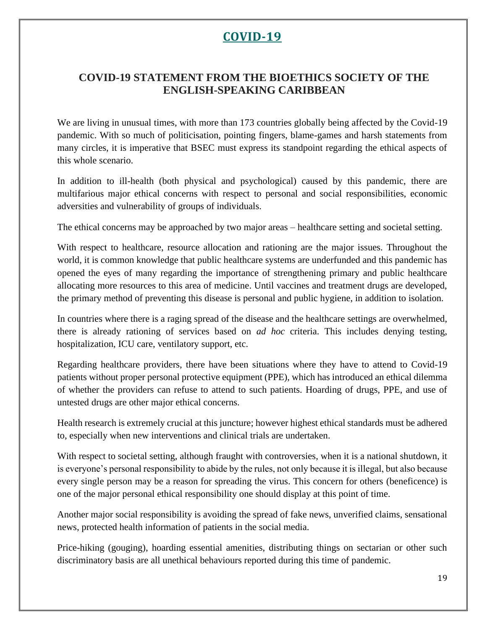# **COVID-19**

# <span id="page-18-1"></span><span id="page-18-0"></span>**COVID-19 STATEMENT FROM THE BIOETHICS SOCIETY OF THE ENGLISH-SPEAKING CARIBBEAN**

We are living in unusual times, with more than 173 countries globally being affected by the Covid-19 pandemic. With so much of politicisation, pointing fingers, blame-games and harsh statements from many circles, it is imperative that BSEC must express its standpoint regarding the ethical aspects of this whole scenario.

In addition to ill-health (both physical and psychological) caused by this pandemic, there are multifarious major ethical concerns with respect to personal and social responsibilities, economic adversities and vulnerability of groups of individuals.

The ethical concerns may be approached by two major areas – healthcare setting and societal setting.

With respect to healthcare, resource allocation and rationing are the major issues. Throughout the world, it is common knowledge that public healthcare systems are underfunded and this pandemic has opened the eyes of many regarding the importance of strengthening primary and public healthcare allocating more resources to this area of medicine. Until vaccines and treatment drugs are developed, the primary method of preventing this disease is personal and public hygiene, in addition to isolation.

In countries where there is a raging spread of the disease and the healthcare settings are overwhelmed, there is already rationing of services based on *ad hoc* criteria. This includes denying testing, hospitalization, ICU care, ventilatory support, etc.

Regarding healthcare providers, there have been situations where they have to attend to Covid-19 patients without proper personal protective equipment (PPE), which has introduced an ethical dilemma of whether the providers can refuse to attend to such patients. Hoarding of drugs, PPE, and use of untested drugs are other major ethical concerns.

Health research is extremely crucial at this juncture; however highest ethical standards must be adhered to, especially when new interventions and clinical trials are undertaken.

With respect to societal setting, although fraught with controversies, when it is a national shutdown, it is everyone's personal responsibility to abide by the rules, not only because it is illegal, but also because every single person may be a reason for spreading the virus. This concern for others (beneficence) is one of the major personal ethical responsibility one should display at this point of time.

Another major social responsibility is avoiding the spread of fake news, unverified claims, sensational news, protected health information of patients in the social media.

Price-hiking (gouging), hoarding essential amenities, distributing things on sectarian or other such discriminatory basis are all unethical behaviours reported during this time of pandemic.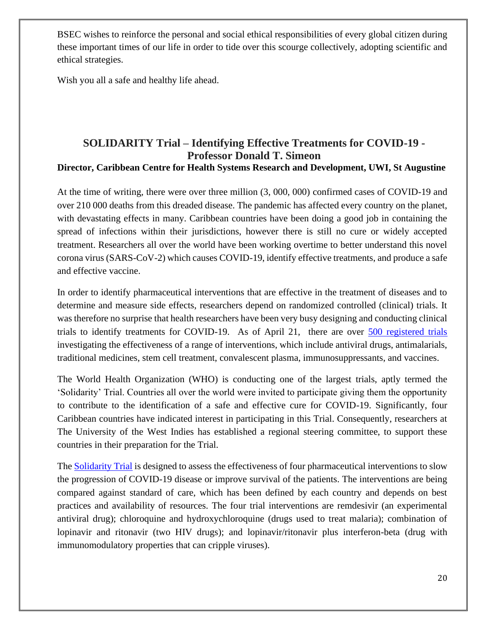BSEC wishes to reinforce the personal and social ethical responsibilities of every global citizen during these important times of our life in order to tide over this scourge collectively, adopting scientific and ethical strategies.

Wish you all a safe and healthy life ahead.

#### <span id="page-19-0"></span>**SOLIDARITY Trial – Identifying Effective Treatments for COVID-19 - Professor Donald T. Simeon Director, Caribbean Centre for Health Systems Research and Development, UWI, St Augustine**

At the time of writing, there were over three million (3, 000, 000) confirmed cases of COVID-19 and over 210 000 deaths from this dreaded disease. The pandemic has affected every country on the planet, with devastating effects in many. Caribbean countries have been doing a good job in containing the spread of infections within their jurisdictions, however there is still no cure or widely accepted treatment. Researchers all over the world have been working overtime to better understand this novel corona virus (SARS-CoV-2) which causes COVID-19, identify effective treatments, and produce a safe and effective vaccine.

In order to identify pharmaceutical interventions that are effective in the treatment of diseases and to determine and measure side effects, researchers depend on randomized controlled (clinical) trials. It was therefore no surprise that health researchers have been very busy designing and conducting clinical trials to identify treatments for COVID-19. As of April 21, there are over [500 registered trials](https://www.thelancet.com/journals/landig/article/PIIS2589-7500(20)30086-8/fulltext) investigating the effectiveness of a range of interventions, which include antiviral drugs, antimalarials, traditional medicines, stem cell treatment, convalescent plasma, immunosuppressants, and vaccines.

The World Health Organization (WHO) is conducting one of the largest trials, aptly termed the 'Solidarity' Trial. Countries all over the world were invited to participate giving them the opportunity to contribute to the identification of a safe and effective cure for COVID-19. Significantly, four Caribbean countries have indicated interest in participating in this Trial. Consequently, researchers at The University of the West Indies has established a regional steering committee, to support these countries in their preparation for the Trial.

The [Solidarity Trial](https://www.who.int/emergencies/diseases/novel-coronavirus-2019/global-research-on-novel-coronavirus-2019-ncov/solidarity-clinical-trial-for-covid-19-treatments) is designed to assess the effectiveness of four pharmaceutical interventions to slow the progression of COVID-19 disease or improve survival of the patients. The interventions are being compared against standard of care, which has been defined by each country and depends on best practices and availability of resources. The four trial interventions are remdesivir (an experimental antiviral drug); chloroquine and hydroxychloroquine (drugs used to treat malaria); combination of lopinavir and ritonavir (two HIV drugs); and lopinavir/ritonavir plus interferon-beta (drug with immunomodulatory properties that can cripple viruses).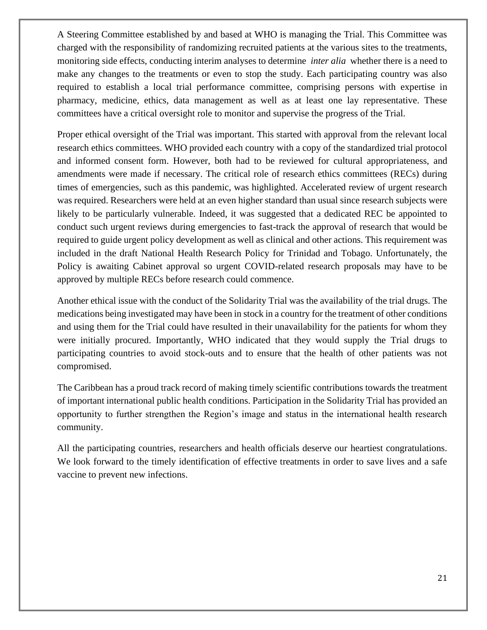A Steering Committee established by and based at WHO is managing the Trial. This Committee was charged with the responsibility of randomizing recruited patients at the various sites to the treatments, monitoring side effects, conducting interim analyses to determine *inter alia* whether there is a need to make any changes to the treatments or even to stop the study. Each participating country was also required to establish a local trial performance committee, comprising persons with expertise in pharmacy, medicine, ethics, data management as well as at least one lay representative. These committees have a critical oversight role to monitor and supervise the progress of the Trial.

Proper ethical oversight of the Trial was important. This started with approval from the relevant local research ethics committees. WHO provided each country with a copy of the standardized trial protocol and informed consent form. However, both had to be reviewed for cultural appropriateness, and amendments were made if necessary. The critical role of research ethics committees (RECs) during times of emergencies, such as this pandemic, was highlighted. Accelerated review of urgent research was required. Researchers were held at an even higher standard than usual since research subjects were likely to be particularly vulnerable. Indeed, it was suggested that a dedicated REC be appointed to conduct such urgent reviews during emergencies to fast-track the approval of research that would be required to guide urgent policy development as well as clinical and other actions. This requirement was included in the draft National Health Research Policy for Trinidad and Tobago. Unfortunately, the Policy is awaiting Cabinet approval so urgent COVID-related research proposals may have to be approved by multiple RECs before research could commence.

Another ethical issue with the conduct of the Solidarity Trial was the availability of the trial drugs. The medications being investigated may have been in stock in a country for the treatment of other conditions and using them for the Trial could have resulted in their unavailability for the patients for whom they were initially procured. Importantly, WHO indicated that they would supply the Trial drugs to participating countries to avoid stock-outs and to ensure that the health of other patients was not compromised.

The Caribbean has a proud track record of making timely scientific contributions towards the treatment of important international public health conditions. Participation in the Solidarity Trial has provided an opportunity to further strengthen the Region's image and status in the international health research community.

All the participating countries, researchers and health officials deserve our heartiest congratulations. We look forward to the timely identification of effective treatments in order to save lives and a safe vaccine to prevent new infections.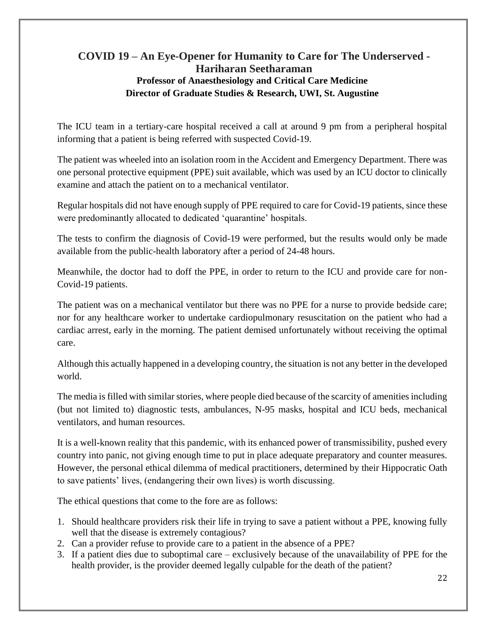## <span id="page-21-0"></span>**COVID 19 – An Eye-Opener for Humanity to Care for The Underserved - Hariharan Seetharaman Professor of Anaesthesiology and Critical Care Medicine Director of Graduate Studies & Research, UWI, St. Augustine**

The ICU team in a tertiary-care hospital received a call at around 9 pm from a peripheral hospital informing that a patient is being referred with suspected Covid-19.

The patient was wheeled into an isolation room in the Accident and Emergency Department. There was one personal protective equipment (PPE) suit available, which was used by an ICU doctor to clinically examine and attach the patient on to a mechanical ventilator.

Regular hospitals did not have enough supply of PPE required to care for Covid-19 patients, since these were predominantly allocated to dedicated 'quarantine' hospitals.

The tests to confirm the diagnosis of Covid-19 were performed, but the results would only be made available from the public-health laboratory after a period of 24-48 hours.

Meanwhile, the doctor had to doff the PPE, in order to return to the ICU and provide care for non-Covid-19 patients.

The patient was on a mechanical ventilator but there was no PPE for a nurse to provide bedside care; nor for any healthcare worker to undertake cardiopulmonary resuscitation on the patient who had a cardiac arrest, early in the morning. The patient demised unfortunately without receiving the optimal care.

Although this actually happened in a developing country, the situation is not any better in the developed world.

The media is filled with similar stories, where people died because of the scarcity of amenities including (but not limited to) diagnostic tests, ambulances, N-95 masks, hospital and ICU beds, mechanical ventilators, and human resources.

It is a well-known reality that this pandemic, with its enhanced power of transmissibility, pushed every country into panic, not giving enough time to put in place adequate preparatory and counter measures. However, the personal ethical dilemma of medical practitioners, determined by their Hippocratic Oath to save patients' lives, (endangering their own lives) is worth discussing.

The ethical questions that come to the fore are as follows:

- 1. Should healthcare providers risk their life in trying to save a patient without a PPE, knowing fully well that the disease is extremely contagious?
- 2. Can a provider refuse to provide care to a patient in the absence of a PPE?
- 3. If a patient dies due to suboptimal care exclusively because of the unavailability of PPE for the health provider, is the provider deemed legally culpable for the death of the patient?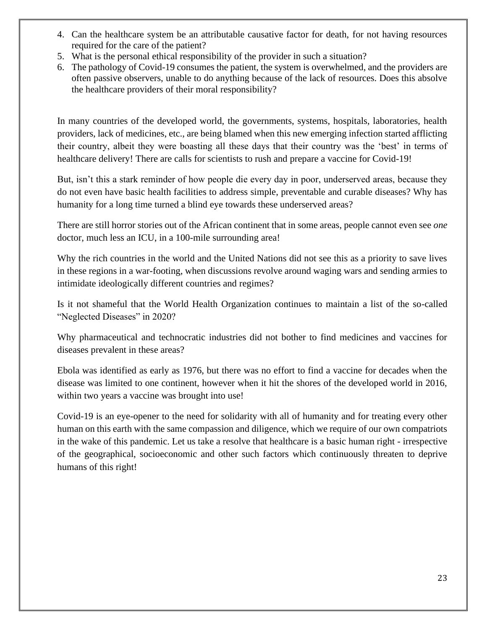- 4. Can the healthcare system be an attributable causative factor for death, for not having resources required for the care of the patient?
- 5. What is the personal ethical responsibility of the provider in such a situation?
- 6. The pathology of Covid-19 consumes the patient, the system is overwhelmed, and the providers are often passive observers, unable to do anything because of the lack of resources. Does this absolve the healthcare providers of their moral responsibility?

In many countries of the developed world, the governments, systems, hospitals, laboratories, health providers, lack of medicines, etc., are being blamed when this new emerging infection started afflicting their country, albeit they were boasting all these days that their country was the 'best' in terms of healthcare delivery! There are calls for scientists to rush and prepare a vaccine for Covid-19!

But, isn't this a stark reminder of how people die every day in poor, underserved areas, because they do not even have basic health facilities to address simple, preventable and curable diseases? Why has humanity for a long time turned a blind eye towards these underserved areas?

There are still horror stories out of the African continent that in some areas, people cannot even see *one* doctor, much less an ICU, in a 100-mile surrounding area!

Why the rich countries in the world and the United Nations did not see this as a priority to save lives in these regions in a war-footing, when discussions revolve around waging wars and sending armies to intimidate ideologically different countries and regimes?

Is it not shameful that the World Health Organization continues to maintain a list of the so-called "Neglected Diseases" in 2020?

Why pharmaceutical and technocratic industries did not bother to find medicines and vaccines for diseases prevalent in these areas?

Ebola was identified as early as 1976, but there was no effort to find a vaccine for decades when the disease was limited to one continent, however when it hit the shores of the developed world in 2016, within two years a vaccine was brought into use!

Covid-19 is an eye-opener to the need for solidarity with all of humanity and for treating every other human on this earth with the same compassion and diligence, which we require of our own compatriots in the wake of this pandemic. Let us take a resolve that healthcare is a basic human right - irrespective of the geographical, socioeconomic and other such factors which continuously threaten to deprive humans of this right!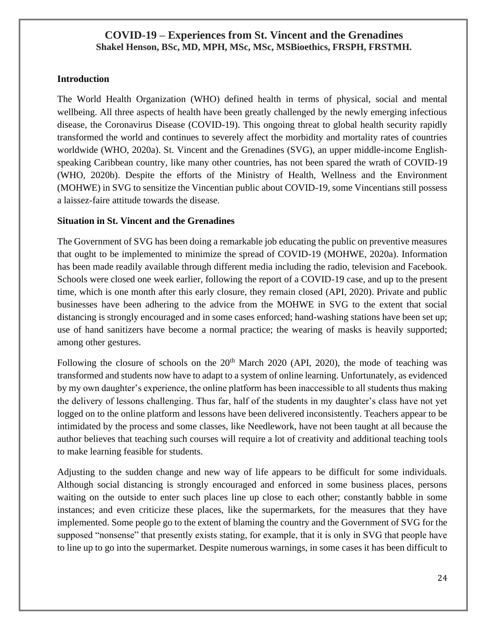#### <span id="page-23-0"></span>**COVID-19 – Experiences from St. Vincent and the Grenadines Shakel Henson, BSc, MD, MPH, MSc, MSc, MSBioethics, FRSPH, FRSTMH.**

#### **Introduction**

The World Health Organization (WHO) defined health in terms of physical, social and mental wellbeing. All three aspects of health have been greatly challenged by the newly emerging infectious disease, the Coronavirus Disease (COVID-19). This ongoing threat to global health security rapidly transformed the world and continues to severely affect the morbidity and mortality rates of countries worldwide (WHO, 2020a). St. Vincent and the Grenadines (SVG), an upper middle-income Englishspeaking Caribbean country, like many other countries, has not been spared the wrath of COVID-19 (WHO, 2020b). Despite the efforts of the Ministry of Health, Wellness and the Environment (MOHWE) in SVG to sensitize the Vincentian public about COVID-19, some Vincentians still possess a laissez-faire attitude towards the disease.

#### **Situation in St. Vincent and the Grenadines**

The Government of SVG has been doing a remarkable job educating the public on preventive measures that ought to be implemented to minimize the spread of COVID-19 (MOHWE, 2020a). Information has been made readily available through different media including the radio, television and Facebook. Schools were closed one week earlier, following the report of a COVID-19 case, and up to the present time, which is one month after this early closure, they remain closed (API, 2020). Private and public businesses have been adhering to the advice from the MOHWE in SVG to the extent that social distancing is strongly encouraged and in some cases enforced; hand-washing stations have been set up; use of hand sanitizers have become a normal practice; the wearing of masks is heavily supported; among other gestures.

Following the closure of schools on the  $20<sup>th</sup>$  March 2020 (API, 2020), the mode of teaching was transformed and students now have to adapt to a system of online learning. Unfortunately, as evidenced by my own daughter's experience, the online platform has been inaccessible to all students thus making the delivery of lessons challenging. Thus far, half of the students in my daughter's class have not yet logged on to the online platform and lessons have been delivered inconsistently. Teachers appear to be intimidated by the process and some classes, like Needlework, have not been taught at all because the author believes that teaching such courses will require a lot of creativity and additional teaching tools to make learning feasible for students.

Adjusting to the sudden change and new way of life appears to be difficult for some individuals. Although social distancing is strongly encouraged and enforced in some business places, persons waiting on the outside to enter such places line up close to each other; constantly babble in some instances; and even criticize these places, like the supermarkets, for the measures that they have implemented. Some people go to the extent of blaming the country and the Government of SVG for the supposed "nonsense" that presently exists stating, for example, that it is only in SVG that people have to line up to go into the supermarket. Despite numerous warnings, in some cases it has been difficult to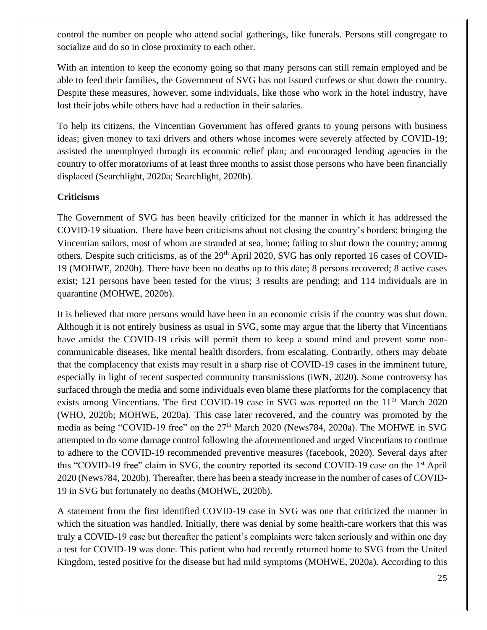control the number on people who attend social gatherings, like funerals. Persons still congregate to socialize and do so in close proximity to each other.

With an intention to keep the economy going so that many persons can still remain employed and be able to feed their families, the Government of SVG has not issued curfews or shut down the country. Despite these measures, however, some individuals, like those who work in the hotel industry, have lost their jobs while others have had a reduction in their salaries.

To help its citizens, the Vincentian Government has offered grants to young persons with business ideas; given money to taxi drivers and others whose incomes were severely affected by COVID-19; assisted the unemployed through its economic relief plan; and encouraged lending agencies in the country to offer moratoriums of at least three months to assist those persons who have been financially displaced (Searchlight, 2020a; Searchlight, 2020b).

#### **Criticisms**

The Government of SVG has been heavily criticized for the manner in which it has addressed the COVID-19 situation. There have been criticisms about not closing the country's borders; bringing the Vincentian sailors, most of whom are stranded at sea, home; failing to shut down the country; among others. Despite such criticisms, as of the 29<sup>th</sup> April 2020, SVG has only reported 16 cases of COVID-19 (MOHWE, 2020b). There have been no deaths up to this date; 8 persons recovered; 8 active cases exist; 121 persons have been tested for the virus; 3 results are pending; and 114 individuals are in quarantine (MOHWE, 2020b).

It is believed that more persons would have been in an economic crisis if the country was shut down. Although it is not entirely business as usual in SVG, some may argue that the liberty that Vincentians have amidst the COVID-19 crisis will permit them to keep a sound mind and prevent some noncommunicable diseases, like mental health disorders, from escalating. Contrarily, others may debate that the complacency that exists may result in a sharp rise of COVID-19 cases in the imminent future, especially in light of recent suspected community transmissions (iWN, 2020). Some controversy has surfaced through the media and some individuals even blame these platforms for the complacency that exists among Vincentians. The first COVID-19 case in SVG was reported on the 11<sup>th</sup> March 2020 (WHO, 2020b; MOHWE, 2020a). This case later recovered, and the country was promoted by the media as being "COVID-19 free" on the 27<sup>th</sup> March 2020 (News784, 2020a). The MOHWE in SVG attempted to do some damage control following the aforementioned and urged Vincentians to continue to adhere to the COVID-19 recommended preventive measures (facebook, 2020). Several days after this "COVID-19 free" claim in SVG, the country reported its second COVID-19 case on the 1st April 2020 (News784, 2020b). Thereafter, there has been a steady increase in the number of cases of COVID-19 in SVG but fortunately no deaths (MOHWE, 2020b).

A statement from the first identified COVID-19 case in SVG was one that criticized the manner in which the situation was handled. Initially, there was denial by some health-care workers that this was truly a COVID-19 case but thereafter the patient's complaints were taken seriously and within one day a test for COVID-19 was done. This patient who had recently returned home to SVG from the United Kingdom, tested positive for the disease but had mild symptoms (MOHWE, 2020a). According to this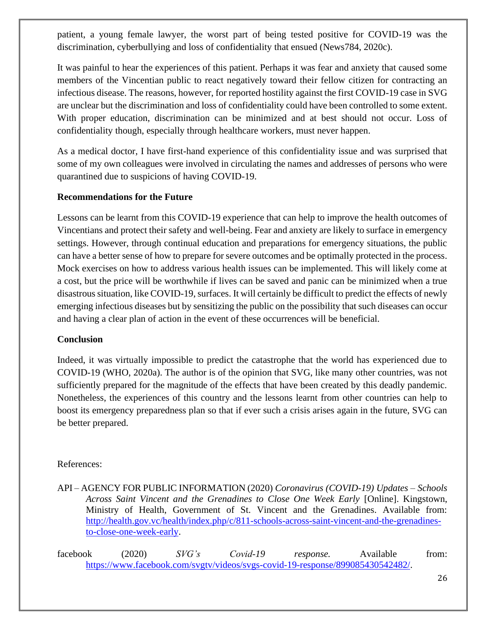patient, a young female lawyer, the worst part of being tested positive for COVID-19 was the discrimination, cyberbullying and loss of confidentiality that ensued (News784, 2020c).

It was painful to hear the experiences of this patient. Perhaps it was fear and anxiety that caused some members of the Vincentian public to react negatively toward their fellow citizen for contracting an infectious disease. The reasons, however, for reported hostility against the first COVID-19 case in SVG are unclear but the discrimination and loss of confidentiality could have been controlled to some extent. With proper education, discrimination can be minimized and at best should not occur. Loss of confidentiality though, especially through healthcare workers, must never happen.

As a medical doctor, I have first-hand experience of this confidentiality issue and was surprised that some of my own colleagues were involved in circulating the names and addresses of persons who were quarantined due to suspicions of having COVID-19.

#### **Recommendations for the Future**

Lessons can be learnt from this COVID-19 experience that can help to improve the health outcomes of Vincentians and protect their safety and well-being. Fear and anxiety are likely to surface in emergency settings. However, through continual education and preparations for emergency situations, the public can have a better sense of how to prepare for severe outcomes and be optimally protected in the process. Mock exercises on how to address various health issues can be implemented. This will likely come at a cost, but the price will be worthwhile if lives can be saved and panic can be minimized when a true disastrous situation, like COVID-19, surfaces. It will certainly be difficult to predict the effects of newly emerging infectious diseases but by sensitizing the public on the possibility that such diseases can occur and having a clear plan of action in the event of these occurrences will be beneficial.

#### **Conclusion**

Indeed, it was virtually impossible to predict the catastrophe that the world has experienced due to COVID-19 (WHO, 2020a). The author is of the opinion that SVG, like many other countries, was not sufficiently prepared for the magnitude of the effects that have been created by this deadly pandemic. Nonetheless, the experiences of this country and the lessons learnt from other countries can help to boost its emergency preparedness plan so that if ever such a crisis arises again in the future, SVG can be better prepared.

#### References:

API – AGENCY FOR PUBLIC INFORMATION (2020) *Coronavirus (COVID-19) Updates – Schools Across Saint Vincent and the Grenadines to Close One Week Early* [Online]. Kingstown, Ministry of Health, Government of St. Vincent and the Grenadines. Available from: [http://health.gov.vc/health/index.php/c/811-schools-across-saint-vincent-and-the-grenadines](http://health.gov.vc/health/index.php/c/811-schools-across-saint-vincent-and-the-grenadines-to-close-one-week-early)[to-close-one-week-early.](http://health.gov.vc/health/index.php/c/811-schools-across-saint-vincent-and-the-grenadines-to-close-one-week-early)

facebook (2020) *SVG's Covid-19 response.* Available from: [https://www.facebook.com/svgtv/videos/svgs-covid-19-response/899085430542482/.](https://www.facebook.com/svgtv/videos/svgs-covid-19-response/899085430542482/)

26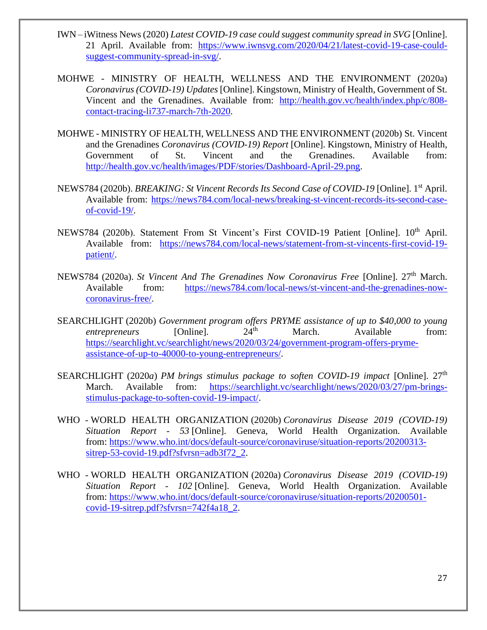- IWN iWitness News (2020) *Latest COVID-19 case could suggest community spread in SVG* [Online]. 21 April. Available from: [https://www.iwnsvg.com/2020/04/21/latest-covid-19-case-could](https://www.iwnsvg.com/2020/04/21/latest-covid-19-case-could-suggest-community-spread-in-svg/)[suggest-community-spread-in-svg/.](https://www.iwnsvg.com/2020/04/21/latest-covid-19-case-could-suggest-community-spread-in-svg/)
- MOHWE MINISTRY OF HEALTH, WELLNESS AND THE ENVIRONMENT (2020a) *Coronavirus (COVID-19) Updates* [Online]. Kingstown, Ministry of Health, Government of St. Vincent and the Grenadines. Available from: [http://health.gov.vc/health/index.php/c/808](http://health.gov.vc/health/index.php/c/808-contact-tracing-li737-march-7th-2020) [contact-tracing-li737-march-7th-2020.](http://health.gov.vc/health/index.php/c/808-contact-tracing-li737-march-7th-2020)
- MOHWE MINISTRY OF HEALTH, WELLNESS AND THE ENVIRONMENT (2020b) St. Vincent and the Grenadines *Coronavirus (COVID-19) Report* [Online]. Kingstown, Ministry of Health, Government of St. Vincent and the Grenadines. Available from: [http://health.gov.vc/health/images/PDF/stories/Dashboard-April-29.png.](http://health.gov.vc/health/images/PDF/stories/Dashboard-April-29.png)
- NEWS784 (2020b). *BREAKING: St Vincent Records Its Second Case of COVID-19* [Online]. 1st April. Available from: [https://news784.com/local-news/breaking-st-vincent-records-its-second-case](https://news784.com/local-news/breaking-st-vincent-records-its-second-case-of-covid-19/)[of-covid-19/.](https://news784.com/local-news/breaking-st-vincent-records-its-second-case-of-covid-19/)
- NEWS784 (2020b). Statement From St Vincent's First COVID-19 Patient [Online]. 10<sup>th</sup> April. Available from: [https://news784.com/local-news/statement-from-st-vincents-first-covid-19](https://news784.com/local-news/statement-from-st-vincents-first-covid-19-patient/) [patient/.](https://news784.com/local-news/statement-from-st-vincents-first-covid-19-patient/)
- NEWS784 (2020a). *St Vincent And The Grenadines Now Coronavirus Free* [Online]. 27th March. Available from: [https://news784.com/local-news/st-vincent-and-the-grenadines-now](https://news784.com/local-news/st-vincent-and-the-grenadines-now-coronavirus-free/)[coronavirus-free/.](https://news784.com/local-news/st-vincent-and-the-grenadines-now-coronavirus-free/)
- SEARCHLIGHT (2020b) *Government program offers PRYME assistance of up to \$40,000 to young*<br> *entrepreneurs* [Online] 24<sup>th</sup> March Available from: *entrepreneurs* [Online]. 24<sup>th</sup> March. Available from: [https://searchlight.vc/searchlight/news/2020/03/24/government-program-offers-pryme](https://searchlight.vc/searchlight/news/2020/03/24/government-program-offers-pryme-assistance-of-up-to-40000-to-young-entrepreneurs/)[assistance-of-up-to-40000-to-young-entrepreneurs/.](https://searchlight.vc/searchlight/news/2020/03/24/government-program-offers-pryme-assistance-of-up-to-40000-to-young-entrepreneurs/)
- SEARCHLIGHT (2020*a*) *PM brings stimulus package to soften COVID-19 impact* [Online]. 27<sup>th</sup> March. Available from: [https://searchlight.vc/searchlight/news/2020/03/27/pm-brings](https://searchlight.vc/searchlight/news/2020/03/27/pm-brings-stimulus-package-to-soften-covid-19-impact/)[stimulus-package-to-soften-covid-19-impact/.](https://searchlight.vc/searchlight/news/2020/03/27/pm-brings-stimulus-package-to-soften-covid-19-impact/)
- WHO WORLD HEALTH ORGANIZATION (2020b) *Coronavirus Disease 2019 (COVID-19) Situation Report - 53* [Online]. Geneva, World Health Organization. Available from: [https://www.who.int/docs/default-source/coronaviruse/situation-reports/20200313](https://www.who.int/docs/default-source/coronaviruse/situation-reports/20200313-sitrep-53-covid-19.pdf?sfvrsn=adb3f72_2) [sitrep-53-covid-19.pdf?sfvrsn=adb3f72\\_2.](https://www.who.int/docs/default-source/coronaviruse/situation-reports/20200313-sitrep-53-covid-19.pdf?sfvrsn=adb3f72_2)
- WHO WORLD HEALTH ORGANIZATION (2020a) *Coronavirus Disease 2019 (COVID-19) Situation Report - 102* [Online]. Geneva, World Health Organization. Available from: [https://www.who.int/docs/default-source/coronaviruse/situation-reports/20200501](https://www.who.int/docs/default-source/coronaviruse/situation-reports/20200501-covid-19-sitrep.pdf?sfvrsn=742f4a18_2) [covid-19-sitrep.pdf?sfvrsn=742f4a18\\_2.](https://www.who.int/docs/default-source/coronaviruse/situation-reports/20200501-covid-19-sitrep.pdf?sfvrsn=742f4a18_2)